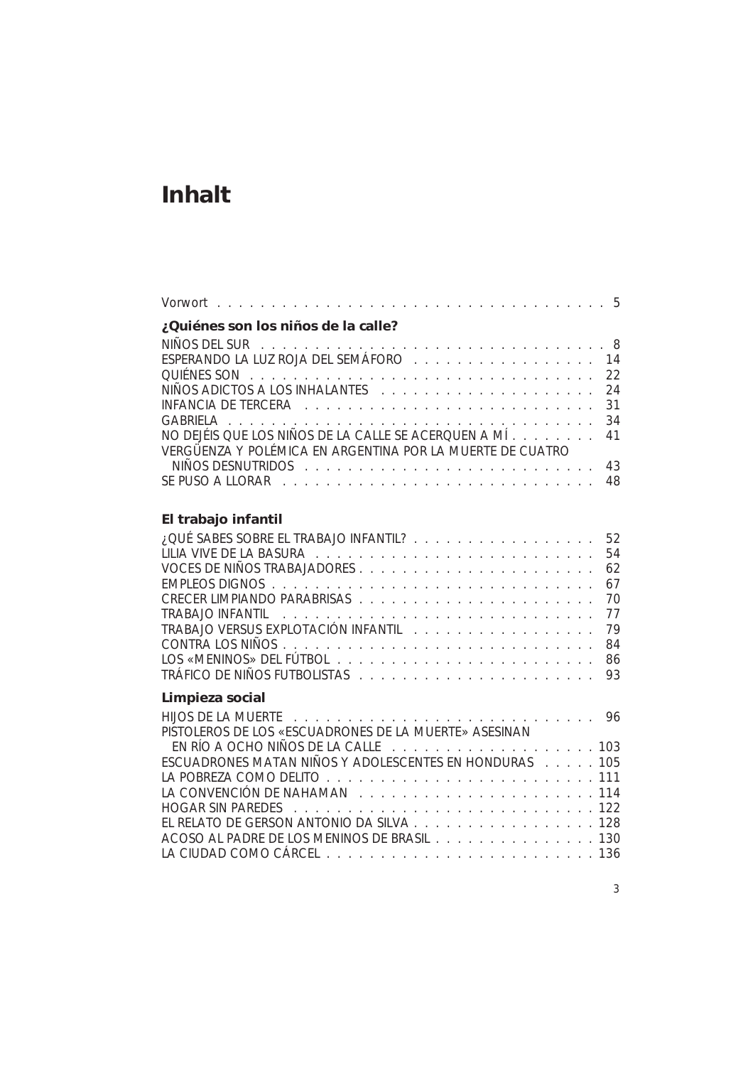# **Inhalt**

| ¿Quiénes son los niños de la calle?                                |  |
|--------------------------------------------------------------------|--|
|                                                                    |  |
| ESPERANDO LA LUZ ROJA DEL SEMÁFORO (Contra contra contra contra 14 |  |
|                                                                    |  |
|                                                                    |  |
|                                                                    |  |
|                                                                    |  |
| NO DEJÉIS QUE LOS NIÑOS DE LA CALLE SE ACERQUEN A MÍ 41            |  |
| VERGÜENZA Y POLÉMICA EN ARGENTINA POR LA MUERTE DE CUATRO          |  |
| NINOS DESNUTRIDOS representa e a consegueixa e a consegueixa e 43  |  |
|                                                                    |  |

## **El trabajo infantil**

| 52 52 . QUÉ SABES SOBRE EL TRABAJO INFANTIL? 52        |    |
|--------------------------------------------------------|----|
|                                                        |    |
|                                                        | 62 |
|                                                        |    |
|                                                        | 70 |
|                                                        | 77 |
| TRABAJO VERSUS EXPLOTACIÓN INFANTIL 79                 |    |
|                                                        |    |
|                                                        |    |
|                                                        |    |
| Limpieza social                                        |    |
|                                                        |    |
| PISTOLEROS DE LOS «ESCUADRONES DE LA MUERTE» ASESINAN  |    |
|                                                        |    |
| ESCUADRONES MATAN NIÑOS Y ADOLESCENTES EN HONDURAS 105 |    |
|                                                        |    |
|                                                        |    |
|                                                        |    |
| EL RELATO DE GERSON ANTONIO DA SILVA 128               |    |
| ACOSO AL PADRE DE LOS MENINOS DE BRASIL 130            |    |
|                                                        |    |
|                                                        |    |